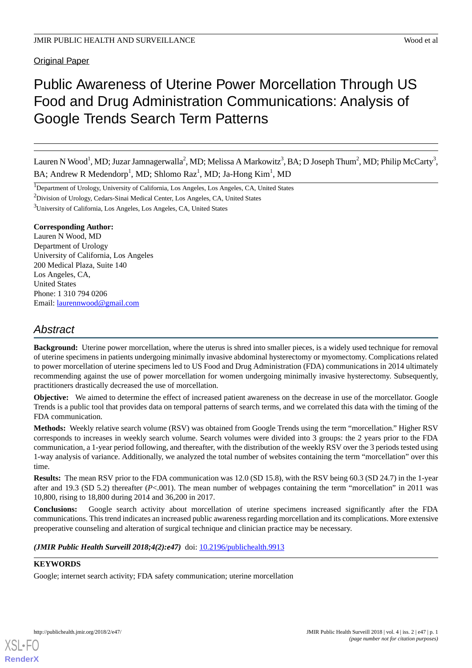Original Paper

# Public Awareness of Uterine Power Morcellation Through US Food and Drug Administration Communications: Analysis of Google Trends Search Term Patterns

Lauren N Wood $^1$ , MD; Juzar Jamnagerwalla $^2$ , MD; Melissa A Markowitz $^3$ , BA; D Joseph Thum $^2$ , MD; Philip McCarty $^3$ , BA; Andrew R Medendorp<sup>1</sup>, MD; Shlomo Raz<sup>1</sup>, MD; Ja-Hong Kim<sup>1</sup>, MD

<sup>1</sup>Department of Urology, University of California, Los Angeles, Los Angeles, CA, United States

<sup>2</sup>Division of Urology, Cedars-Sinai Medical Center, Los Angeles, CA, United States

<sup>3</sup>University of California, Los Angeles, Los Angeles, CA, United States

## **Corresponding Author:**

Lauren N Wood, MD Department of Urology University of California, Los Angeles 200 Medical Plaza, Suite 140 Los Angeles, CA, United States Phone: 1 310 794 0206 Email: [laurennwood@gmail.com](mailto:laurennwood@gmail.com)

## *Abstract*

**Background:** Uterine power morcellation, where the uterus is shred into smaller pieces, is a widely used technique for removal of uterine specimens in patients undergoing minimally invasive abdominal hysterectomy or myomectomy. Complications related to power morcellation of uterine specimens led to US Food and Drug Administration (FDA) communications in 2014 ultimately recommending against the use of power morcellation for women undergoing minimally invasive hysterectomy. Subsequently, practitioners drastically decreased the use of morcellation.

**Objective:** We aimed to determine the effect of increased patient awareness on the decrease in use of the morcellator. Google Trends is a public tool that provides data on temporal patterns of search terms, and we correlated this data with the timing of the FDA communication.

**Methods:** Weekly relative search volume (RSV) was obtained from Google Trends using the term "morcellation." Higher RSV corresponds to increases in weekly search volume. Search volumes were divided into 3 groups: the 2 years prior to the FDA communication, a 1-year period following, and thereafter, with the distribution of the weekly RSV over the 3 periods tested using 1-way analysis of variance. Additionally, we analyzed the total number of websites containing the term "morcellation" over this time.

**Results:** The mean RSV prior to the FDA communication was 12.0 (SD 15.8), with the RSV being 60.3 (SD 24.7) in the 1-year after and 19.3 (SD 5.2) thereafter (*P*<.001). The mean number of webpages containing the term "morcellation" in 2011 was 10,800, rising to 18,800 during 2014 and 36,200 in 2017.

**Conclusions:** Google search activity about morcellation of uterine specimens increased significantly after the FDA communications. This trend indicates an increased public awareness regarding morcellation and its complications. More extensive preoperative counseling and alteration of surgical technique and clinician practice may be necessary.

*(JMIR Public Health Surveill 2018;4(2):e47)* doi: **[10.2196/publichealth.9913](http://dx.doi.org/10.2196/publichealth.9913)** 

## **KEYWORDS**

Google; internet search activity; FDA safety communication; uterine morcellation

[XSL](http://www.w3.org/Style/XSL)•FO **[RenderX](http://www.renderx.com/)**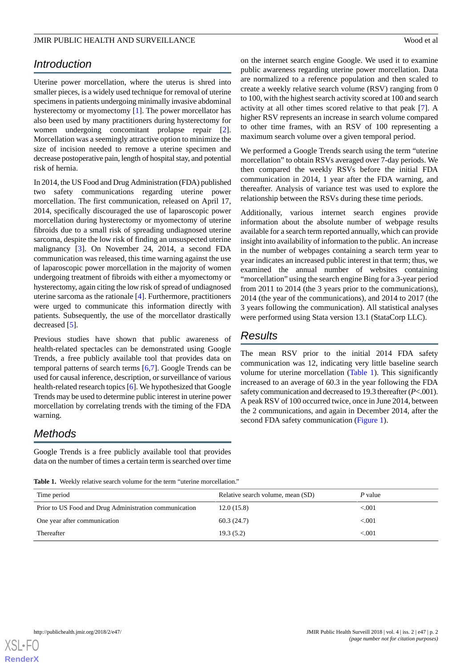## *Introduction*

Uterine power morcellation, where the uterus is shred into smaller pieces, is a widely used technique for removal of uterine specimens in patients undergoing minimally invasive abdominal hysterectomy or myomectomy [[1\]](#page-3-0). The power morcellator has also been used by many practitioners during hysterectomy for women undergoing concomitant prolapse repair [[2\]](#page-3-1). Morcellation was a seemingly attractive option to minimize the size of incision needed to remove a uterine specimen and decrease postoperative pain, length of hospital stay, and potential risk of hernia.

In 2014, the US Food and Drug Administration (FDA) published two safety communications regarding uterine power morcellation. The first communication, released on April 17, 2014, specifically discouraged the use of laparoscopic power morcellation during hysterectomy or myomectomy of uterine fibroids due to a small risk of spreading undiagnosed uterine sarcoma, despite the low risk of finding an unsuspected uterine malignancy [\[3](#page-3-2)]. On November 24, 2014, a second FDA communication was released, this time warning against the use of laparoscopic power morcellation in the majority of women undergoing treatment of fibroids with either a myomectomy or hysterectomy, again citing the low risk of spread of undiagnosed uterine sarcoma as the rationale [[4\]](#page-3-3). Furthermore, practitioners were urged to communicate this information directly with patients. Subsequently, the use of the morcellator drastically decreased [[5\]](#page-3-4).

Previous studies have shown that public awareness of health-related spectacles can be demonstrated using Google Trends, a free publicly available tool that provides data on temporal patterns of search terms [\[6,](#page-3-5)[7\]](#page-3-6). Google Trends can be used for causal inference, description, or surveillance of various health-related research topics [\[6](#page-3-5)]. We hypothesized that Google Trends may be used to determine public interest in uterine power morcellation by correlating trends with the timing of the FDA warning.

## <span id="page-1-0"></span>*Methods*

Google Trends is a free publicly available tool that provides data on the number of times a certain term is searched over time on the internet search engine Google. We used it to examine public awareness regarding uterine power morcellation. Data are normalized to a reference population and then scaled to create a weekly relative search volume (RSV) ranging from 0 to 100, with the highest search activity scored at 100 and search activity at all other times scored relative to that peak [[7\]](#page-3-6). A higher RSV represents an increase in search volume compared to other time frames, with an RSV of 100 representing a maximum search volume over a given temporal period.

We performed a Google Trends search using the term "uterine morcellation" to obtain RSVs averaged over 7-day periods. We then compared the weekly RSVs before the initial FDA communication in 2014, 1 year after the FDA warning, and thereafter. Analysis of variance test was used to explore the relationship between the RSVs during these time periods.

Additionally, various internet search engines provide information about the absolute number of webpage results available for a search term reported annually, which can provide insight into availability of information to the public. An increase in the number of webpages containing a search term year to year indicates an increased public interest in that term; thus, we examined the annual number of websites containing "morcellation" using the search engine Bing for a 3-year period from 2011 to 2014 (the 3 years prior to the communications), 2014 (the year of the communications), and 2014 to 2017 (the 3 years following the communication). All statistical analyses were performed using Stata version 13.1 (StataCorp LLC).

## *Results*

The mean RSV prior to the initial 2014 FDA safety communication was 12, indicating very little baseline search volume for uterine morcellation [\(Table 1](#page-1-0)). This significantly increased to an average of 60.3 in the year following the FDA safety communication and decreased to 19.3 thereafter (*P*<.001). A peak RSV of 100 occurred twice, once in June 2014, between the 2 communications, and again in December 2014, after the second FDA safety communication [\(Figure 1](#page-2-0)).

**Table 1.** Weekly relative search volume for the term "uterine morcellation."

| Time period                                            | Relative search volume, mean (SD) | P value  |
|--------------------------------------------------------|-----------------------------------|----------|
| Prior to US Food and Drug Administration communication | 12.0(15.8)                        | ${<}001$ |
| One year after communication                           | 60.3(24.7)                        | ${<}001$ |
| Thereafter                                             | 19.3(5.2)                         | ${<}001$ |

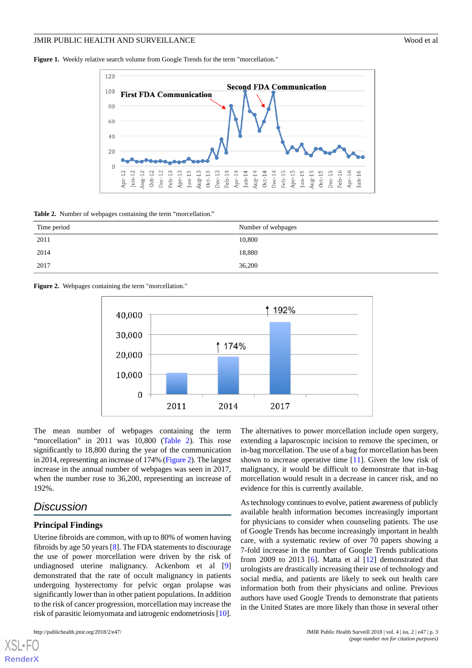<span id="page-2-0"></span>**Figure 1.** Weekly relative search volume from Google Trends for the term "morcellation."



<span id="page-2-1"></span>**Table 2.** Number of webpages containing the term "morcellation."

| Time period | Number of webpages |
|-------------|--------------------|
| 2011        | 10,800             |
| 2014        | 18,880             |
| 2017        | 36,200             |

<span id="page-2-2"></span>



The mean number of webpages containing the term "morcellation" in 2011 was 10,800 [\(Table 2](#page-2-1)). This rose significantly to 18,800 during the year of the communication in 2014, representing an increase of 174% [\(Figure 2](#page-2-2)). The largest increase in the annual number of webpages was seen in 2017, when the number rose to 36,200, representing an increase of 192%.

## *Discussion*

#### **Principal Findings**

Uterine fibroids are common, with up to 80% of women having fibroids by age 50 years [\[8](#page-3-7)]. The FDA statements to discourage the use of power morcellation were driven by the risk of undiagnosed uterine malignancy. Ackenbom et al [\[9](#page-3-8)] demonstrated that the rate of occult malignancy in patients undergoing hysterectomy for pelvic organ prolapse was significantly lower than in other patient populations. In addition to the risk of cancer progression, morcellation may increase the risk of parasitic leiomyomata and iatrogenic endometriosis [\[10\]](#page-3-9).

[XSL](http://www.w3.org/Style/XSL)•FO **[RenderX](http://www.renderx.com/)**

The alternatives to power morcellation include open surgery, extending a laparoscopic incision to remove the specimen, or in-bag morcellation. The use of a bag for morcellation has been shown to increase operative time [\[11](#page-3-10)]. Given the low risk of malignancy, it would be difficult to demonstrate that in-bag morcellation would result in a decrease in cancer risk, and no evidence for this is currently available.

As technology continues to evolve, patient awareness of publicly available health information becomes increasingly important for physicians to consider when counseling patients. The use of Google Trends has become increasingly important in health care, with a systematic review of over 70 papers showing a 7-fold increase in the number of Google Trends publications from 2009 to 2013 [[6\]](#page-3-5). Matta et al [[12\]](#page-3-11) demonstrated that urologists are drastically increasing their use of technology and social media, and patients are likely to seek out health care information both from their physicians and online. Previous authors have used Google Trends to demonstrate that patients in the United States are more likely than those in several other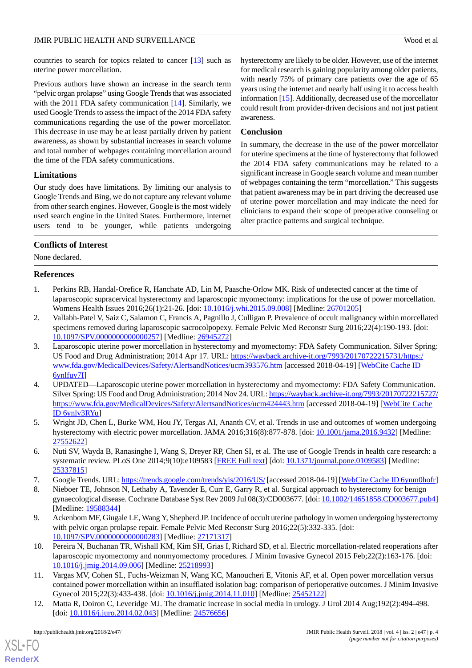countries to search for topics related to cancer [[13\]](#page-4-0) such as uterine power morcellation.

Previous authors have shown an increase in the search term "pelvic organ prolapse" using Google Trends that was associated with the 2011 FDA safety communication [\[14](#page-4-1)]. Similarly, we used Google Trends to assess the impact of the 2014 FDA safety communications regarding the use of the power morcellator. This decrease in use may be at least partially driven by patient awareness, as shown by substantial increases in search volume and total number of webpages containing morcellation around the time of the FDA safety communications.

## **Limitations**

Our study does have limitations. By limiting our analysis to Google Trends and Bing, we do not capture any relevant volume from other search engines. However, Google is the most widely used search engine in the United States. Furthermore, internet users tend to be younger, while patients undergoing hysterectomy are likely to be older. However, use of the internet for medical research is gaining popularity among older patients, with nearly 75% of primary care patients over the age of 65 years using the internet and nearly half using it to access health information [[15\]](#page-4-2). Additionally, decreased use of the morcellator could result from provider-driven decisions and not just patient awareness.

## **Conclusion**

In summary, the decrease in the use of the power morcellator for uterine specimens at the time of hysterectomy that followed the 2014 FDA safety communications may be related to a significant increase in Google search volume and mean number of webpages containing the term "morcellation." This suggests that patient awareness may be in part driving the decreased use of uterine power morcellation and may indicate the need for clinicians to expand their scope of preoperative counseling or alter practice patterns and surgical technique.

## **Conflicts of Interest**

<span id="page-3-0"></span>None declared.

## **References**

- <span id="page-3-1"></span>1. Perkins RB, Handal-Orefice R, Hanchate AD, Lin M, Paasche-Orlow MK. Risk of undetected cancer at the time of laparoscopic supracervical hysterectomy and laparoscopic myomectomy: implications for the use of power morcellation. Womens Health Issues 2016;26(1):21-26. [doi: [10.1016/j.whi.2015.09.008\]](http://dx.doi.org/10.1016/j.whi.2015.09.008) [Medline: [26701205\]](http://www.ncbi.nlm.nih.gov/entrez/query.fcgi?cmd=Retrieve&db=PubMed&list_uids=26701205&dopt=Abstract)
- <span id="page-3-2"></span>2. Vallabh-Patel V, Saiz C, Salamon C, Francis A, Pagnillo J, Culligan P. Prevalence of occult malignancy within morcellated specimens removed during laparoscopic sacrocolpopexy. Female Pelvic Med Reconstr Surg 2016;22(4):190-193. [doi: [10.1097/SPV.0000000000000257](http://dx.doi.org/10.1097/SPV.0000000000000257)] [Medline: [26945272](http://www.ncbi.nlm.nih.gov/entrez/query.fcgi?cmd=Retrieve&db=PubMed&list_uids=26945272&dopt=Abstract)]
- <span id="page-3-3"></span>3. Laparoscopic uterine power morcellation in hysterectomy and myomectomy: FDA Safety Communication. Silver Spring: US Food and Drug Administration; 2014 Apr 17. URL: [https://wayback.archive-it.org/7993/20170722215731/https:/](https://wayback.archive-it.org/7993/20170722215731/https:/www.fda.gov/MedicalDevices/Safety/AlertsandNotices/ucm393576.htm) [www.fda.gov/MedicalDevices/Safety/AlertsandNotices/ucm393576.htm](https://wayback.archive-it.org/7993/20170722215731/https:/www.fda.gov/MedicalDevices/Safety/AlertsandNotices/ucm393576.htm) [accessed 2018-04-19] [\[WebCite Cache ID](http://www.webcitation.org/

                                6ynlfuv7I) [6ynlfuv7I\]](http://www.webcitation.org/

                                6ynlfuv7I)
- <span id="page-3-4"></span>4. UPDATED—Laparoscopic uterine power morcellation in hysterectomy and myomectomy: FDA Safety Communication. Silver Spring: US Food and Drug Administration; 2014 Nov 24. URL: [https://wayback.archive-it.org/7993/20170722215727/](https://wayback.archive-it.org/7993/20170722215727/https://www.fda.gov/MedicalDevices/Safety/AlertsandNotices/ucm424443.htm) [https://www.fda.gov/MedicalDevices/Safety/AlertsandNotices/ucm424443.htm](https://wayback.archive-it.org/7993/20170722215727/https://www.fda.gov/MedicalDevices/Safety/AlertsandNotices/ucm424443.htm) [accessed 2018-04-19] [\[WebCite Cache](http://www.webcitation.org/

                                6ynlv3RYu) [ID 6ynlv3RYu](http://www.webcitation.org/

                                6ynlv3RYu)]
- <span id="page-3-6"></span><span id="page-3-5"></span>5. Wright JD, Chen L, Burke WM, Hou JY, Tergas AI, Ananth CV, et al. Trends in use and outcomes of women undergoing hysterectomy with electric power morcellation. JAMA 2016;316(8):877-878. [doi: [10.1001/jama.2016.9432\]](http://dx.doi.org/10.1001/jama.2016.9432) [Medline: [27552622](http://www.ncbi.nlm.nih.gov/entrez/query.fcgi?cmd=Retrieve&db=PubMed&list_uids=27552622&dopt=Abstract)]
- <span id="page-3-7"></span>6. Nuti SV, Wayda B, Ranasinghe I, Wang S, Dreyer RP, Chen SI, et al. The use of Google Trends in health care research: a systematic review. PLoS One 2014;9(10):e109583 [[FREE Full text](http://dx.plos.org/10.1371/journal.pone.0109583)] [doi: [10.1371/journal.pone.0109583](http://dx.doi.org/10.1371/journal.pone.0109583)] [Medline: [25337815](http://www.ncbi.nlm.nih.gov/entrez/query.fcgi?cmd=Retrieve&db=PubMed&list_uids=25337815&dopt=Abstract)]
- <span id="page-3-8"></span>7. Google Trends. URL:<https://trends.google.com/trends/yis/2016/US/> [accessed 2018-04-19] [[WebCite Cache ID 6ynm0hofr\]](http://www.webcitation.org/

                                6ynm0hofr)
- <span id="page-3-9"></span>8. Nieboer TE, Johnson N, Lethaby A, Tavender E, Curr E, Garry R, et al. Surgical approach to hysterectomy for benign gynaecological disease. Cochrane Database Syst Rev 2009 Jul 08(3):CD003677. [doi: [10.1002/14651858.CD003677.pub4\]](http://dx.doi.org/10.1002/14651858.CD003677.pub4) [Medline: [19588344](http://www.ncbi.nlm.nih.gov/entrez/query.fcgi?cmd=Retrieve&db=PubMed&list_uids=19588344&dopt=Abstract)]
- <span id="page-3-10"></span>9. Ackenbom MF, Giugale LE, Wang Y, Shepherd JP. Incidence of occult uterine pathology in women undergoing hysterectomy with pelvic organ prolapse repair. Female Pelvic Med Reconstr Surg 2016;22(5):332-335. [doi: [10.1097/SPV.0000000000000283](http://dx.doi.org/10.1097/SPV.0000000000000283)] [Medline: [27171317](http://www.ncbi.nlm.nih.gov/entrez/query.fcgi?cmd=Retrieve&db=PubMed&list_uids=27171317&dopt=Abstract)]
- <span id="page-3-11"></span>10. Pereira N, Buchanan TR, Wishall KM, Kim SH, Grias I, Richard SD, et al. Electric morcellation-related reoperations after laparoscopic myomectomy and nonmyomectomy procedures. J Minim Invasive Gynecol 2015 Feb; 22(2):163-176. [doi: [10.1016/j.jmig.2014.09.006\]](http://dx.doi.org/10.1016/j.jmig.2014.09.006) [Medline: [25218993\]](http://www.ncbi.nlm.nih.gov/entrez/query.fcgi?cmd=Retrieve&db=PubMed&list_uids=25218993&dopt=Abstract)
- 11. Vargas MV, Cohen SL, Fuchs-Weizman N, Wang KC, Manoucheri E, Vitonis AF, et al. Open power morcellation versus contained power morcellation within an insufflated isolation bag: comparison of perioperative outcomes. J Minim Invasive Gynecol 2015;22(3):433-438. [doi: [10.1016/j.jmig.2014.11.010](http://dx.doi.org/10.1016/j.jmig.2014.11.010)] [Medline: [25452122](http://www.ncbi.nlm.nih.gov/entrez/query.fcgi?cmd=Retrieve&db=PubMed&list_uids=25452122&dopt=Abstract)]
- 12. Matta R, Doiron C, Leveridge MJ. The dramatic increase in social media in urology. J Urol 2014 Aug;192(2):494-498. [doi: [10.1016/j.juro.2014.02.043](http://dx.doi.org/10.1016/j.juro.2014.02.043)] [Medline: [24576656\]](http://www.ncbi.nlm.nih.gov/entrez/query.fcgi?cmd=Retrieve&db=PubMed&list_uids=24576656&dopt=Abstract)

[XSL](http://www.w3.org/Style/XSL)•FO **[RenderX](http://www.renderx.com/)**